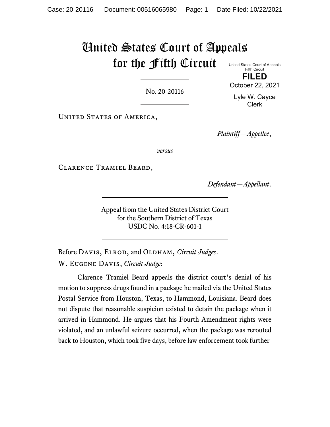# United States Court of Appeals for the Fifth Circuit United States Court of Appeals

No. 20-20116

Fifth Circuit **FILED**

October 22, 2021

Lyle W. Cayce Clerk

UNITED STATES OF AMERICA,

*Plaintiff—Appellee*,

*versus*

Clarence Tramiel Beard,

*Defendant—Appellant*.

Appeal from the United States District Court for the Southern District of Texas USDC No. 4:18-CR-601-1

Before DAVIS, ELROD, and OLDHAM, *Circuit Judges*. W. Eugene Davis, *Circuit Judge*:

Clarence Tramiel Beard appeals the district court's denial of his motion to suppress drugs found in a package he mailed via the United States Postal Service from Houston, Texas, to Hammond, Louisiana. Beard does not dispute that reasonable suspicion existed to detain the package when it arrived in Hammond. He argues that his Fourth Amendment rights were violated, and an unlawful seizure occurred, when the package was rerouted back to Houston, which took five days, before law enforcement took further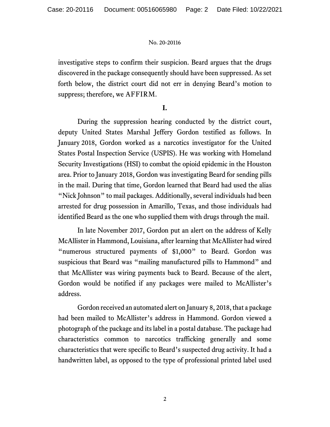investigative steps to confirm their suspicion. Beard argues that the drugs discovered in the package consequently should have been suppressed. As set forth below, the district court did not err in denying Beard's motion to suppress; therefore, we AFFIRM.

# **I.**

During the suppression hearing conducted by the district court, deputy United States Marshal Jeffery Gordon testified as follows. In January 2018, Gordon worked as a narcotics investigator for the United States Postal Inspection Service (USPIS). He was working with Homeland Security Investigations (HSI) to combat the opioid epidemic in the Houston area. Prior to January 2018, Gordon was investigating Beard for sending pills in the mail. During that time, Gordon learned that Beard had used the alias "Nick Johnson" to mail packages. Additionally, several individuals had been arrested for drug possession in Amarillo, Texas, and those individuals had identified Beard as the one who supplied them with drugs through the mail.

In late November 2017, Gordon put an alert on the address of Kelly McAllister in Hammond, Louisiana, after learning that McAllister had wired "numerous structured payments of \$1,000" to Beard. Gordon was suspicious that Beard was "mailing manufactured pills to Hammond" and that McAllister was wiring payments back to Beard. Because of the alert, Gordon would be notified if any packages were mailed to McAllister's address.

Gordon received an automated alert on January 8, 2018, that a package had been mailed to McAllister's address in Hammond. Gordon viewed a photograph of the package and its label in a postal database. The package had characteristics common to narcotics trafficking generally and some characteristics that were specific to Beard's suspected drug activity. It had a handwritten label, as opposed to the type of professional printed label used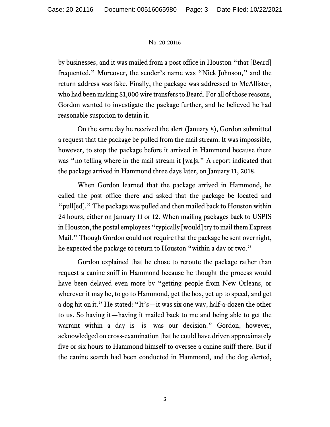by businesses, and it was mailed from a post office in Houston "that [Beard] frequented." Moreover, the sender's name was "Nick Johnson," and the return address was fake. Finally, the package was addressed to McAllister, who had been making \$1,000 wire transfers to Beard. For all of those reasons, Gordon wanted to investigate the package further, and he believed he had reasonable suspicion to detain it.

On the same day he received the alert (January 8), Gordon submitted a request that the package be pulled from the mail stream. It was impossible, however, to stop the package before it arrived in Hammond because there was "no telling where in the mail stream it [wa]s." A report indicated that the package arrived in Hammond three days later, on January 11, 2018.

When Gordon learned that the package arrived in Hammond, he called the post office there and asked that the package be located and "pull[ed]." The package was pulled and then mailed back to Houston within 24 hours, either on January 11 or 12. When mailing packages back to USPIS in Houston, the postal employees "typically [would] try to mail them Express Mail." Though Gordon could not require that the package be sent overnight, he expected the package to return to Houston "within a day or two."

Gordon explained that he chose to reroute the package rather than request a canine sniff in Hammond because he thought the process would have been delayed even more by "getting people from New Orleans, or wherever it may be, to go to Hammond, get the box, get up to speed, and get a dog hit on it." He stated: "It's—it was six one way, half-a-dozen the other to us. So having it—having it mailed back to me and being able to get the warrant within a day is—is—was our decision." Gordon, however, acknowledged on cross-examination that he could have driven approximately five or six hours to Hammond himself to oversee a canine sniff there. But if the canine search had been conducted in Hammond, and the dog alerted,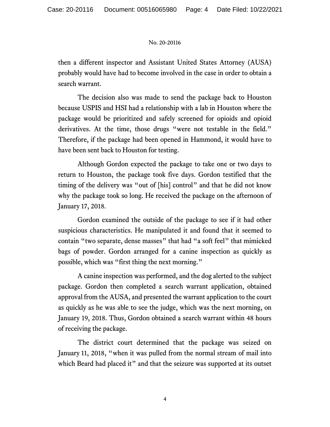then a different inspector and Assistant United States Attorney (AUSA) probably would have had to become involved in the case in order to obtain a search warrant.

The decision also was made to send the package back to Houston because USPIS and HSI had a relationship with a lab in Houston where the package would be prioritized and safely screened for opioids and opioid derivatives. At the time, those drugs "were not testable in the field." Therefore, if the package had been opened in Hammond, it would have to have been sent back to Houston for testing.

Although Gordon expected the package to take one or two days to return to Houston, the package took five days. Gordon testified that the timing of the delivery was "out of [his] control" and that he did not know why the package took so long. He received the package on the afternoon of January 17, 2018.

Gordon examined the outside of the package to see if it had other suspicious characteristics. He manipulated it and found that it seemed to contain "two separate, dense masses" that had "a soft feel" that mimicked bags of powder. Gordon arranged for a canine inspection as quickly as possible, which was "first thing the next morning."

A canine inspection was performed, and the dog alerted to the subject package. Gordon then completed a search warrant application, obtained approval from the AUSA, and presented the warrant application to the court as quickly as he was able to see the judge, which was the next morning, on January 19, 2018. Thus, Gordon obtained a search warrant within 48 hours of receiving the package.

The district court determined that the package was seized on January 11, 2018, "when it was pulled from the normal stream of mail into which Beard had placed it" and that the seizure was supported at its outset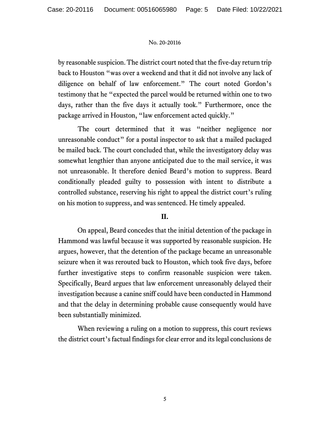by reasonable suspicion.The district court noted that the five-day return trip back to Houston "was over a weekend and that it did not involve any lack of diligence on behalf of law enforcement." The court noted Gordon's testimony that he "expected the parcel would be returned within one to two days, rather than the five days it actually took." Furthermore, once the package arrived in Houston, "law enforcement acted quickly."

The court determined that it was "neither negligence nor unreasonable conduct" for a postal inspector to ask that a mailed packaged be mailed back. The court concluded that, while the investigatory delay was somewhat lengthier than anyone anticipated due to the mail service, it was not unreasonable. It therefore denied Beard's motion to suppress. Beard conditionally pleaded guilty to possession with intent to distribute a controlled substance, reserving his right to appeal the district court's ruling on his motion to suppress, and was sentenced. He timely appealed.

# **II.**

On appeal, Beard concedes that the initial detention of the package in Hammond was lawful because it was supported by reasonable suspicion. He argues, however, that the detention of the package became an unreasonable seizure when it was rerouted back to Houston, which took five days, before further investigative steps to confirm reasonable suspicion were taken. Specifically, Beard argues that law enforcement unreasonably delayed their investigation because a canine sniff could have been conducted in Hammond and that the delay in determining probable cause consequently would have been substantially minimized.

When reviewing a ruling on a motion to suppress, this court reviews the district court's factual findings for clear error and its legal conclusions de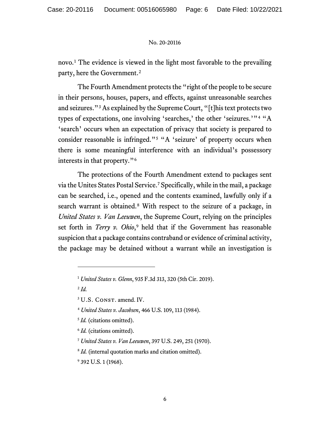novo.[1](#page-5-0) The evidence is viewed in the light most favorable to the prevailing party, here the Government.[2](#page-5-1) 

The Fourth Amendment protects the "right of the people to be secure in their persons, houses, papers, and effects, against unreasonable searches and seizures."[3](#page-5-2) As explained by the Supreme Court, "[t]his text protects two types of expectations, one involving 'searches,' the other 'seizures.'"[4](#page-5-3) "A 'search' occurs when an expectation of privacy that society is prepared to consider reasonable is infringed."[5](#page-5-4) "A 'seizure' of property occurs when there is some meaningful interference with an individual's possessory interests in that property."[6](#page-5-5)

The protections of the Fourth Amendment extend to packages sent via the Unites States Postal Service. [7](#page-5-6) Specifically, while in the mail, a package can be searched, i.e., opened and the contents examined, lawfully only if a search warrant is obtained.[8](#page-5-7) With respect to the seizure of a package, in *United States v. Van Leeuwen*, the Supreme Court, relying on the principles set forth in *Terry v. Ohio*,<sup>[9](#page-5-8)</sup> held that if the Government has reasonable suspicion that a package contains contraband or evidence of criminal activity, the package may be detained without a warrant while an investigation is

<span id="page-5-1"></span><sup>2</sup> *Id.*

<span id="page-5-3"></span><sup>4</sup> *United States v. Jacobsen*, 466 U.S. 109, 113 (1984).

<span id="page-5-6"></span><sup>7</sup> *United States v. Van Leeuwen*, 397 U.S. 249, 251 (1970).

<span id="page-5-0"></span><sup>1</sup> *United States v. Glenn*, 935 F.3d 313, 320 (5th Cir. 2019).

<span id="page-5-2"></span><sup>&</sup>lt;sup>3</sup> U.S. CONST. amend. IV.

<span id="page-5-4"></span><sup>5</sup> *Id.* (citations omitted).

<span id="page-5-5"></span><sup>&</sup>lt;sup>6</sup> *Id.* (citations omitted).

<span id="page-5-7"></span><sup>&</sup>lt;sup>8</sup> *Id.* (internal quotation marks and citation omitted).

<span id="page-5-8"></span><sup>&</sup>lt;sup>9</sup> 392 U.S. 1 (1968).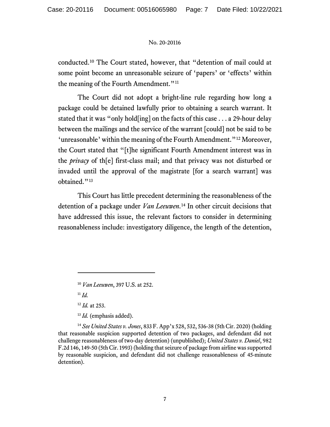conducted. [10](#page-6-0) The Court stated, however, that "detention of mail could at some point become an unreasonable seizure of 'papers' or 'effects' within the meaning of the Fourth Amendment."<sup>[11](#page-6-1)</sup>

The Court did not adopt a bright-line rule regarding how long a package could be detained lawfully prior to obtaining a search warrant. It stated that it was "only hold[ing] on the facts of this case . . . a 29-hour delay between the mailings and the service of the warrant [could] not be said to be 'unreasonable' within the meaning of the Fourth Amendment."[12](#page-6-2) Moreover, the Court stated that "[t]he significant Fourth Amendment interest was in the *privacy* of th[e] first-class mail; and that privacy was not disturbed or invaded until the approval of the magistrate [for a search warrant] was obtained."<sup>[13](#page-6-3)</sup>

This Court has little precedent determining the reasonableness of the detention of a package under *Van Leeuwen*.[14](#page-6-4) In other circuit decisions that have addressed this issue, the relevant factors to consider in determining reasonableness include: investigatory diligence, the length of the detention,

<sup>11</sup> *Id.*

<sup>12</sup> *Id.* at 253.

<sup>13</sup> *Id.* (emphasis added).

<span id="page-6-4"></span><span id="page-6-3"></span><span id="page-6-2"></span><span id="page-6-1"></span><span id="page-6-0"></span><sup>14</sup> *See United States v. Jones*, 833 F. App'x 528, 532, 536-38 (5th Cir. 2020) (holding that reasonable suspicion supported detention of two packages, and defendant did not challenge reasonableness of two-day detention) (unpublished); *United States v. Daniel*, 982 F.2d 146, 149-50 (5th Cir. 1993) (holding that seizure of package from airline was supported by reasonable suspicion, and defendant did not challenge reasonableness of 45-minute detention).

<sup>10</sup> *Van Leeuwen*, 397 U.S. at 252.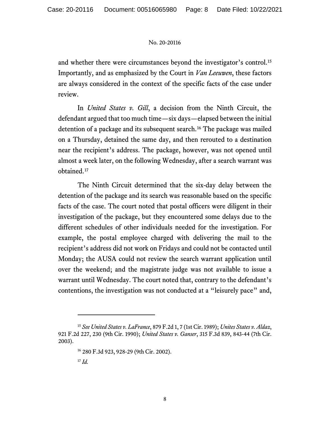and whether there were circumstances beyond the investigator's control. [15](#page-7-0) Importantly, and as emphasized by the Court in *Van Leeuwen*, these factors are always considered in the context of the specific facts of the case under review.

In *United States v. Gill*, a decision from the Ninth Circuit, the defendant argued that too much time—six days—elapsed between the initial detention of a package and its subsequent search.<sup>[16](#page-7-1)</sup> The package was mailed on a Thursday, detained the same day, and then rerouted to a destination near the recipient's address. The package, however, was not opened until almost a week later, on the following Wednesday, after a search warrant was obtained. [17](#page-7-2)

The Ninth Circuit determined that the six-day delay between the detention of the package and its search was reasonable based on the specific facts of the case. The court noted that postal officers were diligent in their investigation of the package, but they encountered some delays due to the different schedules of other individuals needed for the investigation. For example, the postal employee charged with delivering the mail to the recipient's address did not work on Fridays and could not be contacted until Monday; the AUSA could not review the search warrant application until over the weekend; and the magistrate judge was not available to issue a warrant until Wednesday. The court noted that, contrary to the defendant's contentions, the investigation was not conducted at a "leisurely pace" and,

<span id="page-7-2"></span><span id="page-7-1"></span><span id="page-7-0"></span><sup>15</sup> *See United States v. LaFrance*, 879 F.2d 1, 7 (1st Cir. 1989); *Unites States v. Aldaz*, 921 F.2d 227, 230 (9th Cir. 1990); *United States v. Ganser*, 315 F.3d 839, 843-44 (7th Cir. 2003).

<sup>16</sup> 280 F.3d 923, 928-29 (9th Cir. 2002).

<sup>17</sup> *Id.*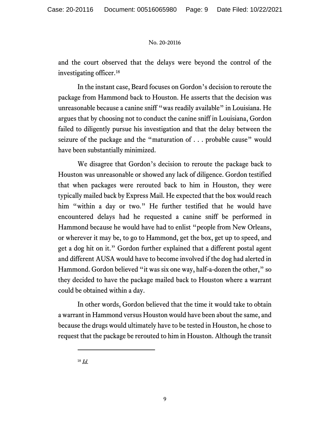and the court observed that the delays were beyond the control of the investigating officer. [18](#page-8-0)

In the instant case, Beard focuses on Gordon's decision to reroute the package from Hammond back to Houston. He asserts that the decision was unreasonable because a canine sniff "was readily available" in Louisiana. He argues that by choosing not to conduct the canine sniff in Louisiana, Gordon failed to diligently pursue his investigation and that the delay between the seizure of the package and the "maturation of . . . probable cause" would have been substantially minimized.

We disagree that Gordon's decision to reroute the package back to Houston was unreasonable or showed any lack of diligence. Gordon testified that when packages were rerouted back to him in Houston, they were typically mailed back by Express Mail. He expected that the box would reach him "within a day or two." He further testified that he would have encountered delays had he requested a canine sniff be performed in Hammond because he would have had to enlist "people from New Orleans, or wherever it may be, to go to Hammond, get the box, get up to speed, and get a dog hit on it." Gordon further explained that a different postal agent and different AUSA would have to become involved if the dog had alerted in Hammond. Gordon believed "it was six one way, half-a-dozen the other," so they decided to have the package mailed back to Houston where a warrant could be obtained within a day.

In other words, Gordon believed that the time it would take to obtain a warrant in Hammond versus Houston would have been about the same, and because the drugs would ultimately have to be tested in Houston, he chose to request that the package be rerouted to him in Houston. Although the transit

<span id="page-8-0"></span><sup>18</sup> *Id.*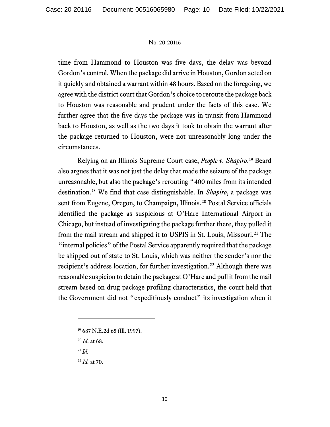time from Hammond to Houston was five days, the delay was beyond Gordon's control. When the package did arrive in Houston, Gordon acted on it quickly and obtained a warrant within 48 hours. Based on the foregoing, we agree with the district court that Gordon's choice to reroute the package back to Houston was reasonable and prudent under the facts of this case. We further agree that the five days the package was in transit from Hammond back to Houston, as well as the two days it took to obtain the warrant after the package returned to Houston, were not unreasonably long under the circumstances.

Relying on an Illinois Supreme Court case, *People v. Shapiro*,[19](#page-9-0) Beard also argues that it was not just the delay that made the seizure of the package unreasonable, but also the package's rerouting "400 miles from its intended destination." We find that case distinguishable. In *Shapiro*, a package was sent from Eugene, Oregon, to Champaign, Illinois.<sup>[20](#page-9-1)</sup> Postal Service officials identified the package as suspicious at O'Hare International Airport in Chicago, but instead of investigating the package further there, they pulled it from the mail stream and shipped it to USPIS in St. Louis, Missouri.[21](#page-9-2) The "internal policies" of the Postal Service apparently required that the package be shipped out of state to St. Louis, which was neither the sender's nor the recipient's address location, for further investigation. [22](#page-9-3) Although there was reasonable suspicion to detain the package at O'Hare and pull it from the mail stream based on drug package profiling characteristics, the court held that the Government did not "expeditiously conduct" its investigation when it

- <span id="page-9-2"></span><sup>21</sup> *Id.*
- <span id="page-9-3"></span><sup>22</sup> *Id.* at 70.

<span id="page-9-0"></span><sup>19</sup> 687 N.E.2d 65 (Ill. 1997).

<span id="page-9-1"></span><sup>20</sup> *Id.* at 68.